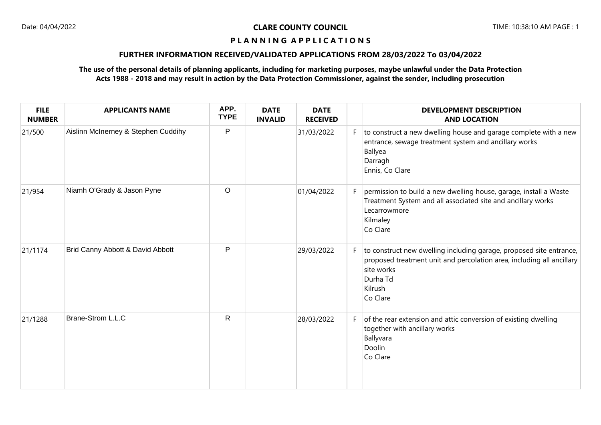### **P L A N N I N G A P P L I C A T I O N S**

### **FURTHER INFORMATION RECEIVED/VALIDATED APPLICATIONS FROM 28/03/2022 To 03/04/2022**

### **The use of the personal details of planning applicants, including for marketing purposes, maybe unlawful under the Data Protection Acts 1988 - 2018 and may result in action by the Data Protection Commissioner, against the sender, including prosecution**

| <b>FILE</b><br><b>NUMBER</b> | <b>APPLICANTS NAME</b>              | APP.<br><b>TYPE</b> | <b>DATE</b><br><b>INVALID</b> | <b>DATE</b><br><b>RECEIVED</b> |    | <b>DEVELOPMENT DESCRIPTION</b><br><b>AND LOCATION</b>                                                                                                                                         |
|------------------------------|-------------------------------------|---------------------|-------------------------------|--------------------------------|----|-----------------------------------------------------------------------------------------------------------------------------------------------------------------------------------------------|
| 21/500                       | Aislinn McInerney & Stephen Cuddihy | $\mathsf{P}$        |                               | 31/03/2022                     | F. | to construct a new dwelling house and garage complete with a new<br>entrance, sewage treatment system and ancillary works<br>Ballyea<br>Darragh<br>Ennis, Co Clare                            |
| 21/954                       | Niamh O'Grady & Jason Pyne          | $\circ$             |                               | 01/04/2022                     | F. | permission to build a new dwelling house, garage, install a Waste<br>Treatment System and all associated site and ancillary works<br>Lecarrowmore<br>Kilmaley<br>Co Clare                     |
| 21/1174                      | Brid Canny Abbott & David Abbott    | P                   |                               | 29/03/2022                     | F  | to construct new dwelling including garage, proposed site entrance,<br>proposed treatment unit and percolation area, including all ancillary<br>site works<br>Durha Td<br>Kilrush<br>Co Clare |
| 21/1288                      | Brane-Strom L.L.C                   | $\mathsf{R}$        |                               | 28/03/2022                     | F  | of the rear extension and attic conversion of existing dwelling<br>together with ancillary works<br>Ballyvara<br>Doolin<br>Co Clare                                                           |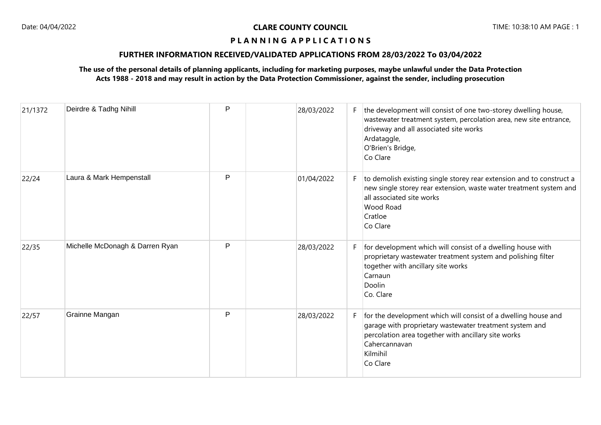### **P L A N N I N G A P P L I C A T I O N S**

### **FURTHER INFORMATION RECEIVED/VALIDATED APPLICATIONS FROM 28/03/2022 To 03/04/2022**

### **The use of the personal details of planning applicants, including for marketing purposes, maybe unlawful under the Data Protection Acts 1988 - 2018 and may result in action by the Data Protection Commissioner, against the sender, including prosecution**

| 21/1372 | Deirdre & Tadhg Nihill          | Ρ | 28/03/2022 | F. | the development will consist of one two-storey dwelling house,<br>wastewater treatment system, percolation area, new site entrance,<br>driveway and all associated site works<br>Ardataggle,<br>O'Brien's Bridge,<br>Co Clare |
|---------|---------------------------------|---|------------|----|-------------------------------------------------------------------------------------------------------------------------------------------------------------------------------------------------------------------------------|
| 22/24   | Laura & Mark Hempenstall        | P | 01/04/2022 | F. | to demolish existing single storey rear extension and to construct a<br>new single storey rear extension, waste water treatment system and<br>all associated site works<br>Wood Road<br>Cratloe<br>Co Clare                   |
| 22/35   | Michelle McDonagh & Darren Ryan | P | 28/03/2022 | F. | for development which will consist of a dwelling house with<br>proprietary wastewater treatment system and polishing filter<br>together with ancillary site works<br>Carnaun<br><b>Doolin</b><br>Co. Clare                    |
| 22/57   | Grainne Mangan                  | P | 28/03/2022 | F. | for the development which will consist of a dwelling house and<br>garage with proprietary wastewater treatment system and<br>percolation area together with ancillary site works<br>Cahercannavan<br>Kilmihil<br>Co Clare     |